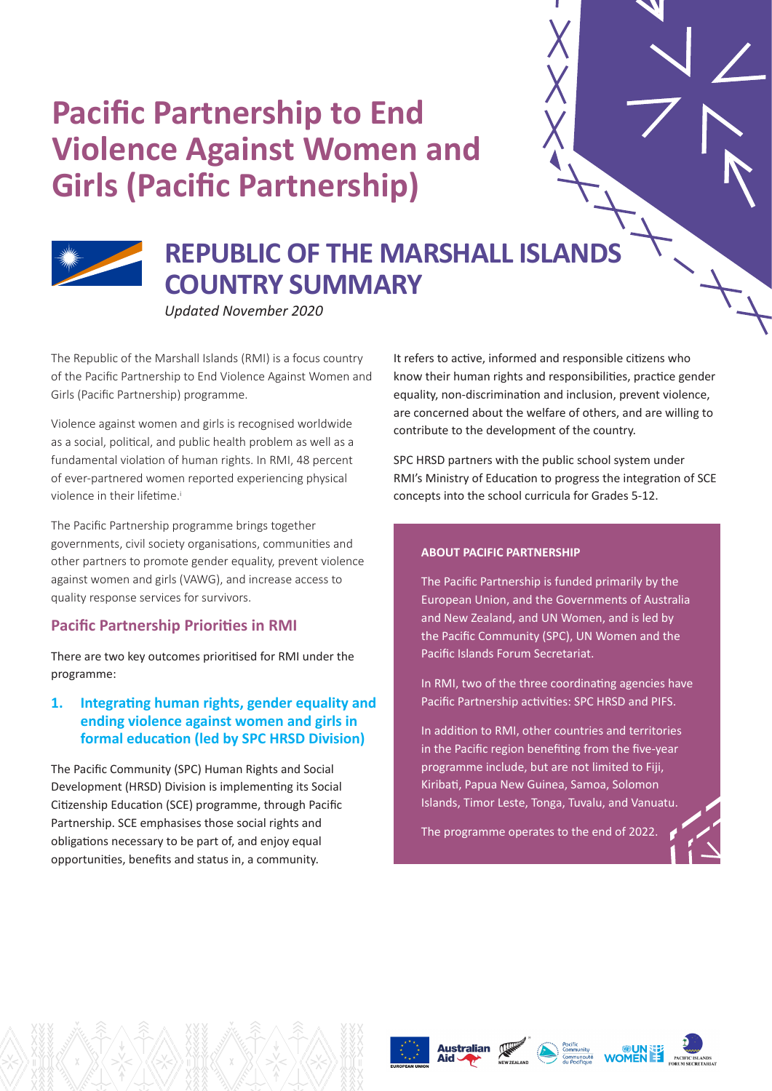# **Pacific Partnership to End Violence Against Women and Girls (Pacific Partnership)**



## **REPUBLIC OF THE MARSHALL ISLANDS COUNTRY SUMMARY**

*Updated November 2020*

The Republic of the Marshall Islands (RMI) is a focus country of the Pacific Partnership to End Violence Against Women and Girls (Pacific Partnership) programme.

Violence against women and girls is recognised worldwide as a social, political, and public health problem as well as a fundamental violation of human rights. In RMI, 48 percent of ever-partnered women reported experiencing physical violence in their lifetime<sup>i</sup>

The Pacific Partnership programme brings together governments, civil society organisations, communities and other partners to promote gender equality, prevent violence against women and girls (VAWG), and increase access to quality response services for survivors.

## **Pacific Partnership Priorities in RMI**

There are two key outcomes prioritised for RMI under the programme:

## **1. Integrating human rights, gender equality and ending violence against women and girls in formal education (led by SPC HRSD Division)**

The Pacific Community (SPC) Human Rights and Social Development (HRSD) Division is implementing its Social Citizenship Education (SCE) programme, through Pacific Partnership. SCE emphasises those social rights and obligations necessary to be part of, and enjoy equal opportunities, benefits and status in, a community.

It refers to active, informed and responsible citizens who know their human rights and responsibilities, practice gender equality, non-discrimination and inclusion, prevent violence, are concerned about the welfare of others, and are willing to contribute to the development of the country.

SPC HRSD partners with the public school system under RMI's Ministry of Education to progress the integration of SCE concepts into the school curricula for Grades 5-12.

## **ABOUT PACIFIC PARTNERSHIP**

The Pacific Partnership is funded primarily by the European Union, and the Governments of Australia and New Zealand, and UN Women, and is led by the Pacific Community (SPC), UN Women and the Pacific Islands Forum Secretariat.

In RMI, two of the three coordinating agencies have Pacific Partnership activities: SPC HRSD and PIFS.

In addition to RMI, other countries and territories in the Pacific region benefiting from the five-year programme include, but are not limited to Fiji, Kiribati, Papua New Guinea, Samoa, Solomon Islands, Timor Leste, Tonga, Tuvalu, and Vanuatu.

The programme operates to the end of 2022.









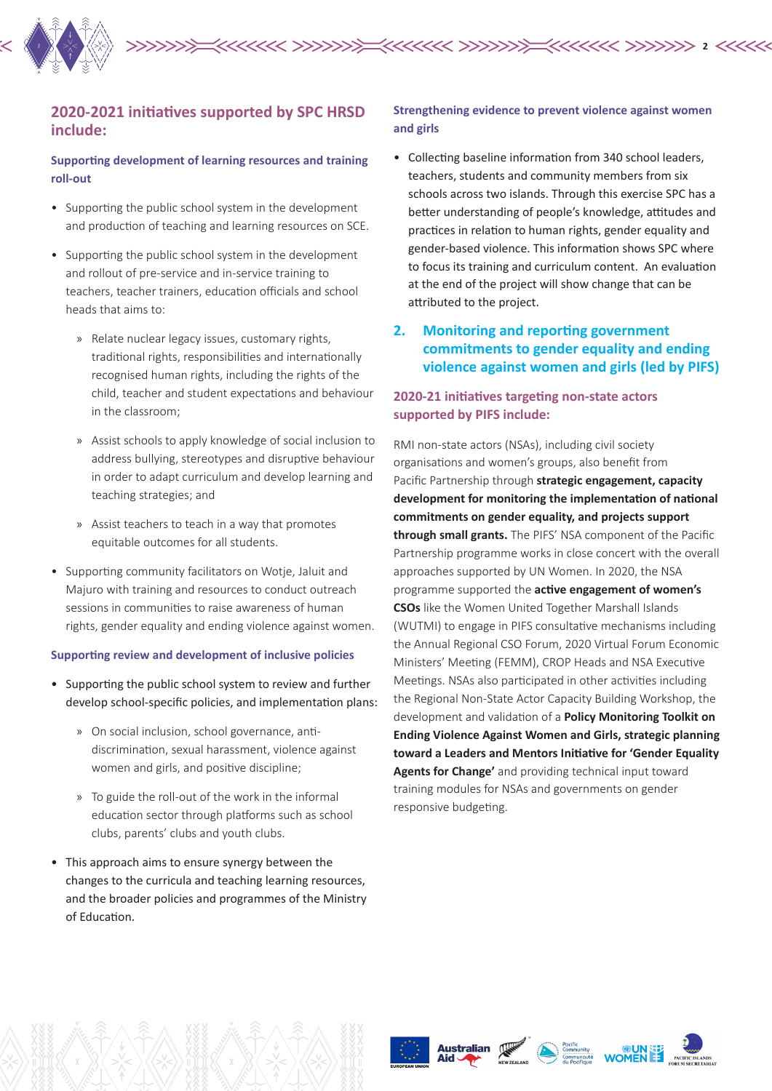

## **2020-2021 initiatives supported by SPC HRSD include:**

#### **Supporting development of learning resources and training roll-out**

- Supporting the public school system in the development and production of teaching and learning resources on SCE.
- Supporting the public school system in the development and rollout of pre-service and in-service training to teachers, teacher trainers, education officials and school heads that aims to:
	- » Relate nuclear legacy issues, customary rights, traditional rights, responsibilities and internationally recognised human rights, including the rights of the child, teacher and student expectations and behaviour in the classroom;
	- » Assist schools to apply knowledge of social inclusion to address bullying, stereotypes and disruptive behaviour in order to adapt curriculum and develop learning and teaching strategies; and
	- » Assist teachers to teach in a way that promotes equitable outcomes for all students.
- Supporting community facilitators on Wotje, Jaluit and Majuro with training and resources to conduct outreach sessions in communities to raise awareness of human rights, gender equality and ending violence against women.

#### **Supporting review and development of inclusive policies**

- Supporting the public school system to review and further develop school-specific policies, and implementation plans:
	- » On social inclusion, school governance, antidiscrimination, sexual harassment, violence against women and girls, and positive discipline;
	- » To guide the roll-out of the work in the informal education sector through platforms such as school clubs, parents' clubs and youth clubs.
- This approach aims to ensure synergy between the changes to the curricula and teaching learning resources, and the broader policies and programmes of the Ministry of Education.

#### **Strengthening evidence to prevent violence against women and girls**

- Collecting baseline information from 340 school leaders, teachers, students and community members from six schools across two islands. Through this exercise SPC has a better understanding of people's knowledge, attitudes and practices in relation to human rights, gender equality and gender-based violence. This information shows SPC where to focus its training and curriculum content. An evaluation at the end of the project will show change that can be attributed to the project.
- **2. Monitoring and reporting government commitments to gender equality and ending violence against women and girls (led by PIFS)**

## **2020-21 initiatives targeting non-state actors supported by PIFS include:**

RMI non-state actors (NSAs), including civil society organisations and women's groups, also benefit from Pacific Partnership through **strategic engagement, capacity development for monitoring the implementation of national commitments on gender equality, and projects support through small grants.** The PIFS' NSA component of the Pacific Partnership programme works in close concert with the overall approaches supported by UN Women. In 2020, the NSA programme supported the **active engagement of women's CSOs** like the Women United Together Marshall Islands (WUTMI) to engage in PIFS consultative mechanisms including the Annual Regional CSO Forum, 2020 Virtual Forum Economic Ministers' Meeting (FEMM), CROP Heads and NSA Executive Meetings. NSAs also participated in other activities including the Regional Non-State Actor Capacity Building Workshop, the development and validation of a **Policy Monitoring Toolkit on Ending Violence Against Women and Girls, strategic planning toward a Leaders and Mentors Initiative for 'Gender Equality Agents for Change'** and providing technical input toward training modules for NSAs and governments on gender responsive budgeting.